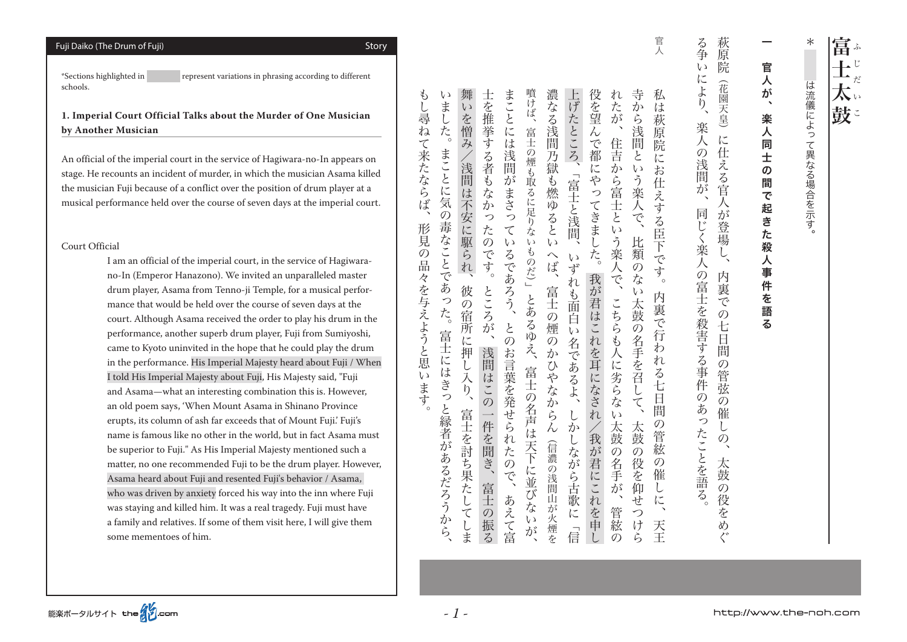## Fuji Daiko (The Drum of Fuji) and the Contract of Daiko Fuji of Daiko Fuji of Daiko Fuji of Daiko Fuji of Daiko

萩原 院

(花園天皇)

に

仕

1える官

人

か

登

場

 $\tilde{L}$ 

官人

官

天

大賞 こうしゅう スページ・スペース こうしゅう しょうしゅう ほうせいせい こうきょう

内裏

 $\overline{\tau}$ 

 $\overline{O}$ 

七

亘

蕳

 $\mathcal{O}$ 

3管弦の

催

 $\mathcal{L}$ 

 $\mathcal{O}$ 

太鼓

「の役を

め

 $\zeta^*$ 

。は流儀によって異なる場合を示す\*

て異なる場合を示

す

は流儀によっ

 $\ast$ 

 $-1$ 

富ふ

太。

鼓

楽人同士の間で起きた殺人事件を語る、一官人が

官

人

が

楽

人

同

壬

 $\boldsymbol{\mathcal{D}}$ 

間  $\overline{\mathbb{C}}$ 

こ起きた

殺

人

事件

を

語

 $\overline{z}$ 

\*Sections highlighted in represent variations in phrasing according to different .schools

# **1. Imperial Court Official Talks about the Murder of One Musician by Another Musician**

An official of the imperial court in the service of Hagiwara-no-In appears on stage. He recounts an incident of murder, in which the musician Asama killed the musician Fuji because of a conflict over the position of drum player at a musical performance held over the course of seven days at the imperial court.

### Court Official

no-In (Emperor Hanazono). We invited an unparalleled master I am an official of the imperial court, in the service of Hagiwaradrum player, Asama from Tenno-ji Temple, for a musical performance that would be held over the course of seven days at the court. Although Asama received the order to play his drum in the performance, another superb drum player, Fuji from Sumiyoshi, came to Kyoto uninvited in the hope that he could play the drum in the performance. His Imperial Majesty heard about Fuji / When I told His Imperial Majesty about Fuji, His Majesty said, "Fuji and Asama—what an interesting combination this is. However, an old poem says, 'When Mount Asama in Shinano Province erupts, its column of ash far exceeds that of Mount Fuji' Fuji's name is famous like no other in the world, but in fact Asama must be superior to Fuji." As His Imperial Majesty mentioned such a matter, no one recommended Fuji to be the drum player. However, Asama heard about Fuji and resented Fuji's behavior / Asama, who was driven by anxiety forced his way into the inn where Fuji was staying and killed him. It was a real tragedy. Fuji must have a family and relatives. If some of them visit here, I will give them some mementoes of him.

る争 。これは、『風景の歌集』という意味が、『風景の歌集』という意味が、『風景の歌集』という意味が、『風景の歌集』という意味が、『風景の歌集』という意味が、『風景の歌集』という意味が、『風景の歌集』という意味が、『風景の歌集』という意味が、『風景の歌集』という意味が、『風景の歌集』という意味が、『風景の歌集』という意味が、『風景の歌集』という意味が、『風景の歌集』という意味があります。  $\iota$ により、 噴けば、 役を望 舞 n 寺 私  $\sharp$ 士を推挙する者もなかった まことには浅間がまさっ 濃なる浅間乃獄も燃ゆるとい  $\iota$ 上げたところ、 、富士の名声は天下に並びないが、とあるゆえ)」富士の煙も取るに足りないものだ、噴けば .<br>ま し尋 。形見の品々を与えようと思います、もし尋ねて来たならば 、富士にはきっと縁者があるだろうから。まことに気の毒なことであった。いました  $\overline{v}$ 富士を行ってしまい、その宿所に押し入り、漢字の宿所に押し入り、漢字の宿所に押し入り、漢字の宿所に押し入り、漢字の宿所に押し入り、漢字の宿所に押し入り、漢字の宿所に押し入り、漢字の宿所に押し入り、漢字の 、ところが。士を推挙する者もなかったのです またで、まことには淡闇がまさっているので、まことには淡闇がまさっているので、まことには淡闇がまさっているので、まことには淡闇がまさっているので、まことには淡闇がまさっているので、まことには淡闇がまさっ について スター・リー・コード インター・スター スター・ファイル 信 しゅうしゅ こうしゅう こうしゅう こうしゅう こうしゅう こうしゅう こうしゅう こうしゅう こうしゅう こうしゅう こうしゅう こうしゅう こうしゅう こうしゅう 。 たが 管絃の、こちらも人に劣らない太鼓の名手が、住吉から富士という楽人で、れたが ゕ 太鼓の名手を得ると、そのよいより、そのよいより、そのよいより、そのよいより、そのよいより、そのよいより、そのよいより、そのよいより、そのよいより、そのよいより、そのよいより、そのよいより、そのよいより、 天王、内裏で行われる七日間の管絃の催しに。私は萩原院にお仕えする臣下です は いを憎み  $\ddot{6}$ L 萩 楽人の浅間が た。 浅間  $\dot{a}$ 富士の煙も取るに足りない |んで都に 原 住吉 て来たなら 院 まことに気  $\mathcal{L}$ に /浅間は不安に駆ら  $\overline{\mathcal{D}}$  $\sqrt{2}$ お 「富士と浅間、 う楽 やってきました。 ら富士と 3仕えす ぼ À 同  $\mathcal{O}$ T る臣下 じく 形見 毒なことであ  $\begin{matrix} 1 \\ 1 \end{matrix}$  $\overline{v}$ 比類 - う楽人  $\overline{O}$ 楽人 ごです。  $\hat{P}$ 八试  $\sigma$ るであろう、  $\mathcal{U}$ です。 **のだ)」** 品 机  $\mathcal{O}$ ずれも面白い名であるよ、 (の富士を殺害する事 我 々 で な を与えよう 富士の煙の 彼 ところ 我が君にこれを申し/我が君はこれを耳になされ が君はこれを耳になされ  $\zeta$  ) とあるゆえ、 内裏で行 っ ·太鼓の こちらも  $\overline{O}$ た。 **>宿所** が、  $\overline{\mathcal{L}}$ 富 冗押 のお言葉を発せられ 名手を召 壬 わ と思 浅間はこの か 人に劣らない 仁 n 一件を聞きる このこと このこと このこと このこと このこと このこと このこと し入り、 ひやなからん にはきっ 富士の名声 る<br>七  $\iota$ 件 ます。 L  $\Box$  $\mathcal{O}$  $\zeta$ と縁者があるだろうか あ 蕳 富士を討ち果たし しかしながら古歌に 一件を聞き、富士の振る っ 太鼓 太鼓  $\mathcal{O}$ 、は天下 一我 管 たことを語る (信濃の浅間山が火煙を いたので、 絃 が君にこれを申し  $\overline{O}$  $\overline{O}$ >名手が 2役を仰  $\mathcal{O}$ に並 催  $\cup$ びな あえて富 ۰,  $\dot{t}$ に、 管絃の こしま つけら  $\epsilon$  y 天王 信 ら が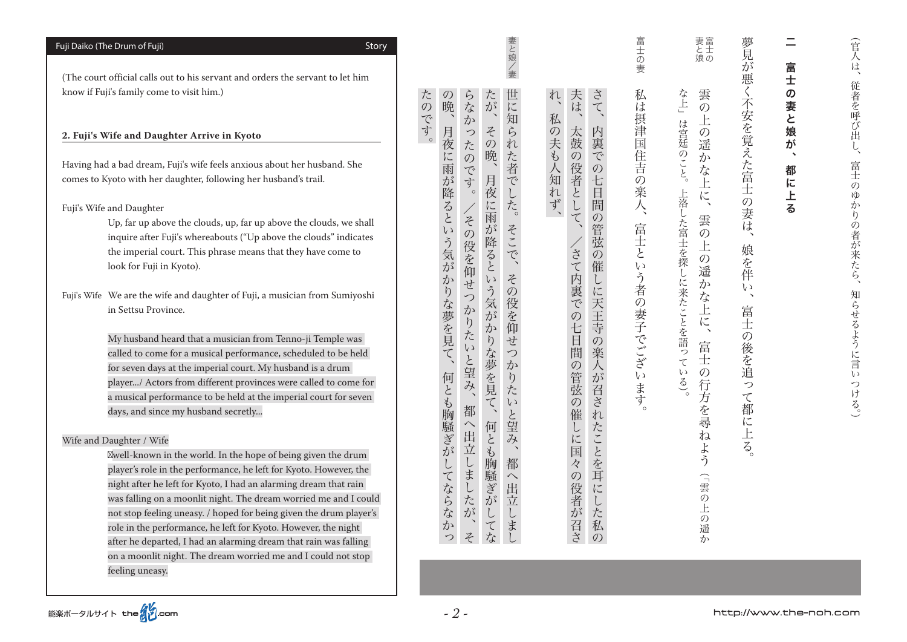| Fuji Daiko (The Drum of Fuji)<br>Story                                                                                                                                                                                                                                                                                                                                                                                                                                                                                                                                                                |       |                      |                                                                 | 妻と娘ノ                                            |          |                                                   | 富士<br>$\overline{\sigma}$ | 妻富<br>娘の                                                                                |                                                         |                           |  |
|-------------------------------------------------------------------------------------------------------------------------------------------------------------------------------------------------------------------------------------------------------------------------------------------------------------------------------------------------------------------------------------------------------------------------------------------------------------------------------------------------------------------------------------------------------------------------------------------------------|-------|----------------------|-----------------------------------------------------------------|-------------------------------------------------|----------|---------------------------------------------------|---------------------------|-----------------------------------------------------------------------------------------|---------------------------------------------------------|---------------------------|--|
| (The court official calls out to his servant and orders the servant to let him                                                                                                                                                                                                                                                                                                                                                                                                                                                                                                                        |       |                      |                                                                 |                                                 |          |                                                   | 妻                         |                                                                                         |                                                         | 冨<br>士                    |  |
| know if Fuji's family come to visit him.)                                                                                                                                                                                                                                                                                                                                                                                                                                                                                                                                                             |       | $\mathcal{O}$<br>晚、  | たが<br>らな                                                        | 世<br>に<br>$\checkmark$                          | れ、       | さて<br>夫は                                          | 私<br>は                    | 雲<br>な上<br>$\overline{O}$                                                               |                                                         | の<br>妻と                   |  |
| 2. Fuji's Wife and Daughter Arrive in Kyoto                                                                                                                                                                                                                                                                                                                                                                                                                                                                                                                                                           | たのです。 | 月夜に                  | か<br>その<br>つた                                                   | 知<br>ふられ                                        | 私        | 内裏<br>太鼓                                          |                           | $\pm$<br>の遥か                                                                            |                                                         | 娘<br>が                    |  |
| Having had a bad dream, Fuji's wife feels anxious about her husband. She<br>comes to Kyoto with her daughter, following her husband's trail.                                                                                                                                                                                                                                                                                                                                                                                                                                                          |       | 雨                    | 晚、<br>$\mathcal{O}$<br>です<br>月夜<br>່ $\circ$                    | た者でした。                                          | の夫も人知れず、 | $\overline{C}$<br>の役者として<br>$\mathcal{O}$         | 摂津国住吉の                    | は宮廷のこと。<br>な上に、                                                                         | 夢見が悪く不安を覚えた富士の妻は                                        | $\blacktriangledown$<br>都 |  |
| Fuji's Wife and Daughter<br>Up, far up above the clouds, up, far up above the clouds, we shall<br>inquire after Fuji's whereabouts ("Up above the clouds" indicates<br>the imperial court. This phrase means that they have come to<br>look for Fuji in Kyoto).<br>Fuji's Wife We are the wife and daughter of Fuji, a musician from Sumiyoshi<br>in Settsu Province.<br>My husband heard that a musician from Tenno-ji Temple was                                                                                                                                                                    |       | が降るとい<br>う気がかりな夢を見て、 | に下が<br>くその<br>。降ると<br>役を仰せつ<br>$\zeta$ )<br>.う気が<br>か<br>りた     | そこで、<br>z<br>$\mathcal{D}$<br>)役を仰<br>$\dot{t}$ |          | 七日間<br>2の管弦<br>さて内裏での<br>$\overline{O}$<br>催      | )楽人、<br>富士という者の妻子でございます。  | 上洛した富士を探しに来たことを語っている)。<br>雲<br>$\mathcal{O}$<br>上<br>$\mathcal{O}$<br>遥<br>か<br>な上<br>区 | 娘を伴<br>$\mathcal{U}$<br>$\boldsymbol{\checkmark}$<br>富士 | に上る                       |  |
| called to come for a musical performance, scheduled to be held<br>for seven days at the imperial court. My husband is a drum<br>player/ Actors from different provinces were called to come for<br>a musical performance to be held at the imperial court for seven<br>days, and since my husband secretly                                                                                                                                                                                                                                                                                            |       |                      | かりな夢を見<br>$\epsilon$ $\sqrt$<br>と望み、<br>$\overline{\zeta}$<br>都 | $\bigcirc$<br>か<br>りた<br>$\zeta$<br>と望          |          | しに天王寺の楽人が召されたことを耳<br>七日間の管弦<br>$\mathcal{O}$<br>催 |                           | 富<br>王<br>の行方を尋                                                                         | の後を追っ<br>て都に上                                           |                           |  |
| Wife and Daughter / Wife<br>well-known in the world. In the hope of being given the drum<br>player's role in the performance, he left for Kyoto. However, the<br>night after he left for Kyoto, I had an alarming dream that rain<br>was falling on a moonlit night. The dream worried me and I could<br>not stop feeling uneasy. / hoped for being given the drum player's<br>role in the performance, he left for Kyoto. However, the night<br>after he departed, I had an alarming dream that rain was falling<br>on a moonlit night. The dream worried me and I could not stop<br>feeling uneasy. |       | 何とも胸騒ぎがしてならなか<br>つ   | △出立<br>何とも胸騒ぎが<br>しましたが<br>$\cup$<br>てな<br>z                    | 云<br>都<br>$\curvearrowright$<br>出<br>立<br>しまし   |          | しに<br>国<br>々の役者が召さ<br>に<br>にした私<br>$\mathcal{O}$  |                           | ふねよう<br>(「雲<br>$\overline{O}$<br>上<br>$\overline{\varphi}$<br>遥<br>か                    | $\overline{\xi}$                                        |                           |  |

能楽ポータルサイト the 20.com

( 。) 。 この者は、富士の子は、富士の子は、富士の子は( 。) 。 この者がある しょうしょう

(官人は、従者を呼び出し、富士のゆかりの者が来たら、知らせるように言いつける。)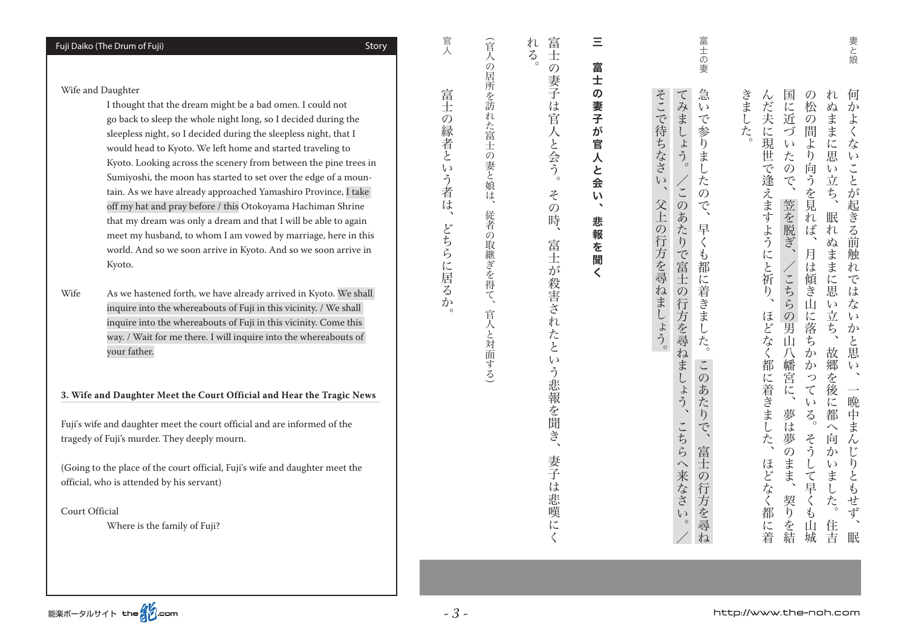### **Story** Fuji Daiko (The Drum of Fuji) **Fuji of Daiko Fuji of Daiko Fuji of Daiko Fuji of Daiko Fuji of Daiko Fuji of Daiko Fuji of Daiko Fuji of Daiko Fuji of Daiko Fuji of Daiko Fuji of Daiko Fuji of Daiko Fuji of Daiko F**

Wife and Daughter

I thought that the dream might be a bad omen. I could not go back to sleep the whole night long, so I decided during the sleepless night, so I decided during the sleepless night, that I would head to Kyoto. We left home and started traveling to Kyoto. Looking across the scenery from between the pine trees in Sumiyoshi, the moon has started to set over the edge of a mountain. As we have already approached Yamashiro Province, I take off my hat and pray before / this Otokoyama Hachiman Shrine that my dream was only a dream and that I will be able to again meet my husband, to whom I am vowed by marriage, here in this world. And so we soon arrive in Kyoto. And so we soon arrive in Kyoto.

Wife . As we hastened forth, we have already arrived in Kyoto. We shall inquire into the whereabouts of Fuji in this vicinity. / We shall inquire into the whereabouts of Fuji in this vicinity. Come this way. / Wait for me there. I will inquire into the whereabouts of your father.

### **3. Wife and Daughter Meet the Court Official and Hear the Tragic News**

Fuji's wife and daughter meet the court official and are informed of the tragedy of Fuji's murder. They deeply mourn.

(Going to the place of the court official, Fuji's wife and daughter meet the official, who is attended by his servant)

**Court Official** 

Where is the family of Fuji?

富士  $\varnothing$ 妻子 は官人と会う。  $z$  $\mathcal{O}$ 時、 富士  $\overline{\psi}$ 殺害され いたとい う悲報を聞き、

悲報を聞く、三富士の妻子が官人と会い

Ξ

富

士

の

妻

字

が

官

人

と

会

 $\mathsf{L}\mathsf{L}$ 

悲

報

を

誾

 $\langle$ 

 $\hat{\mathcal{N}}$ 

れ み子は、富士の妻子は、富士の妻子は、富士の妻子は官人と会うという悲報を聞き、この時、富士の妻子は官人と会うとしている。<br>この時、富士の妻子は官人と会うとしている。  $\zeta$ 妻子は悲嘆にく

(官人の居所を訪れ (官人の居る) (官人の居る) (官人の居る) (官人の居る) (官人の居る) (官人の居る) (官人の居る) (官人の居る) (官人の居る) (官人の居る) \*た富士 の妻と娘 法 従者の取継ぎを得て、 官人と対面する)

天 富 壬 の縁者という者は どちらに居るか

官

。どちらに居るか、富士の縁者という者は

、国に近づいたので

きました。

国

1に近

ゔ

 $\iota$ 

たの

 $\overline{C}$ 

笠を脱ぎ、

へこちらの

勇

 $\tilde{\mathbb{H}}$  $\mathcal{F}_{\mathcal{L}}$ 

[八幡宮

一<br>八  $\tau$ 

しは夢

 $\overline{O}$  $\zeta$  $\overline{\psi}$ 

しまま

契

天りを結

 $\mathcal{O}$ n

松  $d\lambda$ 

 $\overline{O}$ 

間

よ

 $\mathfrak h$ 

向

うを見

ぼ n

月は

傾 汇

ぶ<br>山

 $\lambda$ 

んだ夫

へに現世

で

逢えますようにと祈

妻と娘

何

か

 $\mathbf{k}$ 

 $\langle$ 

な

 $\iota$ 

 $\check{\cdot}$ 

とが起き

こ<br>前

触

 $n$ 

 $\widetilde{C}$ 

は

 $\iota$ 

 $\zeta$ 

黒

 $\iota$ 

 $\overline{\phantom{0}}$ 

晩

中

ま  $\curvearrowright$ 

 $\lambda$ 

 $\mathcal{U}$ 

 $\eta$ 

とも

こせず、

眠

ぶまま

こに思

 $\sqrt{ }$ 

立

ち、

眠 n

**ぬまま** 

思

 $\iota$ な

立

ち、  $\overline{\mathcal{D}}$ 

故郷

学を後  $\mathcal{L}$ 

に都

 $\iota$ 

**、ました。** 

住吉

そうしてもものでしょうとしてもいえます。そうしてもいえません。そうしてもいえば、そうしてもの松の間より向うと思えばなりの後に落ちかっている。 たものは、ほとんどのままに思い立ち、思い立ちに思い立ち、ままに思い立ち、ままに思い立ち、ままに思い立ち、ままに思い立ち、ままに思い立ち、ままに思い立ち、ままに思い立ち、ままに思い立ち、ままに思い立ち、 眠、一晩中まんじりともせず、何かよくないことが起きる前触れではないかと思い

·に落

か

か

 $\iota_{\lambda}$ 

 $\zeta$ 

 $z$ 向

こ<br>早

 $\mathfrak{F}$ 

山城

アリスト ストール こうしょう こうしょう こうしょう こうしょう こうしょう こうしょう こうしょう こうしょう こうしょう こうしょう こうしょう こうしょう こうしょう

ほどなく都に着、ほどなく都に着きました、んだ夫に現世で逢えますようにと祈り

ほどなく都に着

きまし 夢

え

ほどなく

都

に着

 $\frac{v_1}{v_2}$ 

このあたり、このあたりで、このあたり、このあたり、このあたり、このあたり、このあたり、このあたり、このあたり、このあたり、このあたり、このあたり、このあたり、このあたり、このあたり、このあたり、このあ

着きまし

た。

この

 $\overline{a}$ 

ごたり

 $\phi$ 

富

 $+$ 

 $\mathcal{D}$ 行

方

を尋

 $\tilde{h}$ 

富士の妻

急

 $\iota$ 

で参りましたの

こで、

早くも都

に

/。こちらへ来なさい、このあたりで富士の行方を尋ねましょう/。てみましょう

の行方を尋ねまし

しょう、

こちらへ来なさい

。父上の行方を与えている。 そうしょう こうしょう こうしょう こうしょう こうしょう

父上の行方を尋ねましょう。

そこで待ちなさ

 $\zeta$  )

 $\mathcal{A}$ 

てみましょう。

/この

あ

ごたり

、で富士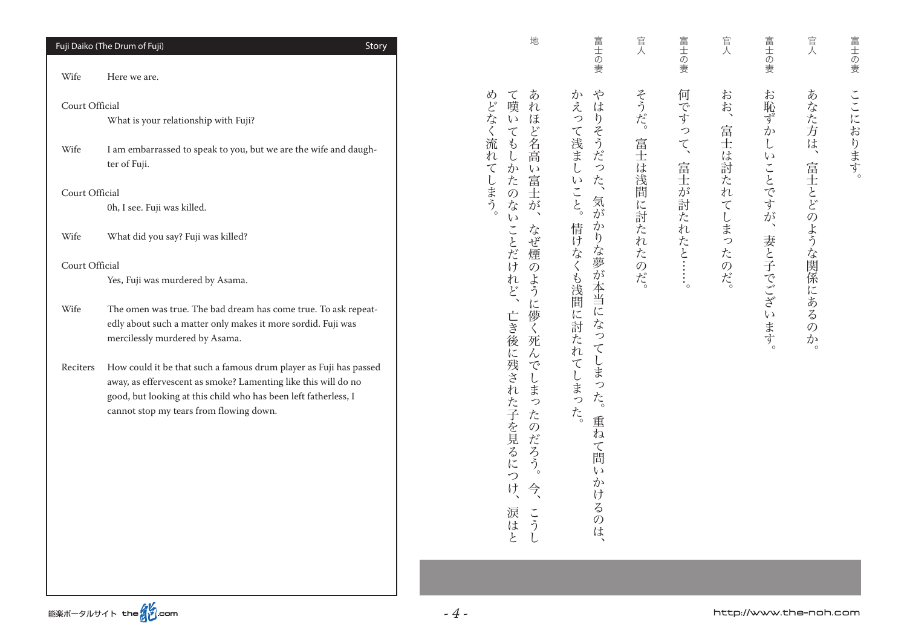|                                                                    | Fuji Daiko (The Drum of Fuji)<br>Story                                                                                                                                                                                                            | 地                                                                                                                                                                                                                     | 富士の妻                                                                                                              | 官人                        | 富士の妻                  | 官人                        | 富士の妻                                 | 官人                       | 富士の妻     |
|--------------------------------------------------------------------|---------------------------------------------------------------------------------------------------------------------------------------------------------------------------------------------------------------------------------------------------|-----------------------------------------------------------------------------------------------------------------------------------------------------------------------------------------------------------------------|-------------------------------------------------------------------------------------------------------------------|---------------------------|-----------------------|---------------------------|--------------------------------------|--------------------------|----------|
| Wife                                                               | Here we are.                                                                                                                                                                                                                                      |                                                                                                                                                                                                                       |                                                                                                                   |                           |                       |                           |                                      |                          |          |
| Court Official<br>Wife<br>Court Official<br>Wife<br>Court Official | What is your relationship with Fuji?<br>I am embarrassed to speak to you, but we are the wife and daugh-<br>ter of Fuji.<br>0h, I see. Fuji was killed.<br>What did you say? Fuji was killed?                                                     | あ<br>て嘆<br>めどなく流れ<br>れ<br>ほど名高<br>$\iota$<br>$\boldsymbol{\tau}$<br>$\mathfrak{F}$<br>$\cup$<br>$\tau$<br>か<br>$\iota$<br>こしまう。<br>富<br>た<br>$\mathcal{O}$<br>士<br>$\vec{z}$<br>が<br>$\zeta$ )<br>ことだけ<br>な<br>ぜ<br>煙 | 令<br>かえって浅まし<br>は<br>りそうだ<br>っ<br>た、<br>ここと。<br>気<br>が<br>か<br>$\eta$<br>な夢                                       | そうだ。<br>富士<br>は浅間に討たれたのだ。 | 何ですって、<br>富士が討たれたと……。 | おお、<br>富士は討たれ<br>てしまったのだ。 | お恥ずか<br>$\cup$<br>いことですが、<br>妻と子でござい | あなた方は、<br>富士とどのような関係にあるの | ここにおります。 |
|                                                                    | Yes, Fuji was murdered by Asama.                                                                                                                                                                                                                  | $\mathcal{O}$<br>れど<br>よう                                                                                                                                                                                             | が本当に                                                                                                              |                           |                       |                           |                                      |                          |          |
| Wife                                                               | The omen was true. The bad dream has come true. To ask repeat-<br>edly about such a matter only makes it more sordid. Fuji was<br>mercilessly murdered by Asama.                                                                                  | に儚<br>$\langle$<br>死<br>$\lambda$                                                                                                                                                                                     | なっ<br>$\tau$                                                                                                      |                           |                       |                           | .<br>ます。                             | か<br>$\circ$             |          |
| Reciters                                                           | How could it be that such a famous drum player as Fuji has passed<br>away, as effervescent as smoke? Lamenting like this will do no<br>good, but looking at this child who has been left fatherless, I<br>cannot stop my tears from flowing down. | 亡き後に残された子を見るに<br>で<br>$\downarrow$<br>ま<br>っ<br>た<br>$\mathcal{O}$<br><b>)だろう。</b><br>つ<br>$\mathcal{V}^{\!\!\!\!\phantom{I}^{\!\!\!\!\phantom{I}}}_{\!\!\!\phantom{I}^{\!\!\!\phantom{I}}}\,$<br>今、<br>涙<br>こう<br>はと | 情けなくも浅間に討たれてしまった。<br>しま<br>っ<br>$\mathcal{X}_{\zeta}$<br>重<br>ね<br>て間<br>$\iota$<br>か<br>ける<br>$\mathcal{O}$<br>は |                           |                       |                           |                                      |                          |          |
|                                                                    |                                                                                                                                                                                                                                                   |                                                                                                                                                                                                                       |                                                                                                                   |                           |                       |                           |                                      |                          |          |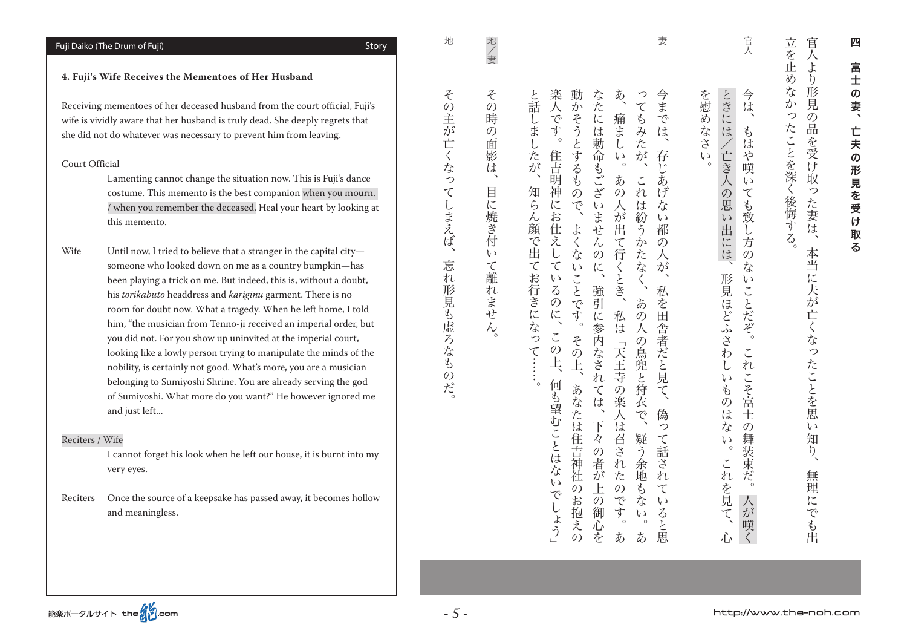匹

立 官 一を止 。ことを上がる ことを止める ことを止める ことを止める ことを止める ことを止める ことをとる ことをとる ことをとる ことをとる ことをとる ことをとる ことをとる ことをとる 無理により、それは、本当に夫が亡くなったことを思います。 こころ ことは こうしゅう ことは こうしゅう こくしゅう こうしゅう こくしゅう こくしゅう こくしゅう 人  $\mathbf{r}$ め  $\eta$ な 形見  $\psi$ っ  $\overline{O}$ たことを深 品 品を受け 取 く後悔する っ った妻は、 本当に夫が亡くなったことを思  $\iota$ 知  $\sqrt{2}$ 無理 に でも 盙

- 官 人 こうしょう ときに を慰めなさい 今 。 心、これを見て。形見ほどふさわしいものはない、亡き人の思い出には/ときには 伎 人が嘆く。これこそ富士の舞装束だ。もはや嘆いても致し方のないことだぞ、今は は  $\mathfrak{F}$ こはや嘆 /亡き人  $\circ$  $\iota$  $\sigma$  $\tau$ 思  $\sharp$ 致  $\iota$ ()<br>方 出 に は  $\mathcal{O}$ な 形  $\iota$ ことだぞ。 見ほどふ ごさわ  $\check{\cdot}$  $n$  $\sum$  $\iota$  $\mathcal{L}$  $z$ 富  $\mathcal{O}$ は  $+$ た  $\mathcal{O}$ 無  $\iota$ **萍装束だ**  $\circ$  $\zeta_{h}$ を見  $\lambda$  $\overline{\tau}$ が 嘆く 心
- 動か 今まで と話 楽人 な あ っ 。......知らん顔で出てお行きになって、と話しましたが 「何も望むことはないでしょう」と、この上、住吉明神にお仕えしているのに。楽人ですが、この上、住吉明神にお仕えしているのに。楽人ですが、 あなたは住吉神社のお抱えの、その上。よくないことです、動かそうとするもので た 下々の者が上の福心を、なたには、なたには、なたには、なたには、なたには神をもつては、なたには神をもつては、なたには神をもつては、なたには神をもつては、なたには神をもつには、なたには神をもつには、なたに ま。天王寺の楽人はこれには、それは、あの人が出て行くとき。 こうしゅう こうしゅう こうしゅう こうしゅう こうしゅう こうしゅう こうしゅう こうしゅう こうしゅう あ。疑う余地もない、あの人の鳥兜と狩衣で、これは紛うかたなく、ってもみたが  $\tau$ 人が、それでは、それでは、それで、存じあげない都の人が、それでは、存じると思います。 べです。 に そうとする 痛ましい  $\mathcal{L}$ しまし は勅命もござ  $\breve{\nabla}$ は、 したが したが 住吉 存じ  $\circ$  $\ddot{\phantom{1}}$ 庙  $\check{\mathfrak{b}}$ あ  $\check{\phantom{a}}$ あ ので 知 神  $\tilde{\mathcal{O}}$ n げ ら に  $\overline{V}$  $i\ddot{x}$ 人 な こお仕 .<br>ませ ん顔  $\overrightarrow{D^2}$ 紛  $\iota$  $\frac{1}{2}$ 畄 都  $\widetilde{2}$ 会<br>出 え  $\overline{\zeta}$  $\lambda$ て行くとき か  $\mathcal{O}$  $\downarrow$ な  $\mathcal{O}$ た 人  $\tau$  $\boldsymbol{\tau}$  $\mathcal{U}$ に な か お行きに  $\zeta$  $\tilde{\zeta}$  $\zeta$ ことです 強引 私  $\overline{O}$ あ 本 に 私 田 に参内なされ  $\overline{O}$ になっ に 云舎者  $\lambda$  $\check{\cdot}$  $z$ 「天王寺の の鳥兜と  $\mathcal{O}$  $\overline{\mathbf{C}}$  $\overline{O}$ だと見 上、 兵 何も望むことはな ່ $\circ$ あなたは  $\overline{\tau}$ 狩  $\tau$ 楽人は召 は、 衣 T 偽  $\overline{\Gamma}$ っ 住吉神社  $\overline{\mathcal{R}}$ 疑  $\tau$  $\mathcal{O}$ **ミれ**  $\widetilde{\mathfrak{Z}}$ 話 - 者が 余地  $\mathfrak{Z}$ た n  $\iota$  $\overline{O}$  $\mathcal{L}$  $\mathcal{O}$  $\pm$  $\tau$  $\widetilde{C}$ です お  $\overline{\varphi}$ な  $\iota$  $\overline{1}$ 3抱えの 御 ると  $\iota$ ょう .<br>°  $\circ$ 心 吞 あ あ 原

地/妻 。目に焼き付いて離れません、妻その時の面影は/地  $z$  $\mathcal{O}$ 時  $\tilde{\mathcal{O}}$ 面 影は 目に焼き付  $\iota$ て離れません

 $z$  $\mathcal{O}$ 主が亡くなっ てしまえば 忘  $\bar{n}$ 形見も虚ろなも  $\mathcal{O}$ だ

。この主が見るようなものだ。 こうしょう こうしょう こうしょう

地

Lamenting cannot change the situation now. This is Fuji's dance costume. This memento is the best companion when you mourn. / when you remember the deceased. Heal your heart by looking at this memento. Wife Until now, I tried to believe that a stranger in the capital citysomeone who looked down on me as a country bumpkin-has been playing a trick on me. But indeed, this is, without a doubt, his torikabuto headdress and kariginu garment. There is no room for doubt now. What a tragedy. When he left home, I told him, "the musician from Tenno-ji received an imperial order, but

> you did not. For you show up uninvited at the imperial court, looking like a lowly person trying to manipulate the minds of the nobility, is certainly not good. What's more, you are a musician belonging to Sumiyoshi Shrine. You are already serving the god of Sumiyoshi. What more do you want?" He however ignored me

Reciters / Wife

and just left...

Court Official

I cannot forget his look when he left our house, it is burnt into my very eyes.

Reciters Once the source of a keepsake has passed away, it becomes hollow and meaningless.

4. Fuji's Wife Receives the Mementoes of Her Husband

Receiving mementoes of her deceased husband from the court official, Fuji's wife is vividly aware that her husband is truly dead. She deeply regrets that she did not do whatever was necessary to prevent him from leaving.

Fuji Daiko (The Drum of Fuji) and the contract of the Contract of Daiko Fuji of Daiko Fuji of Daiko Fuji of Da

妻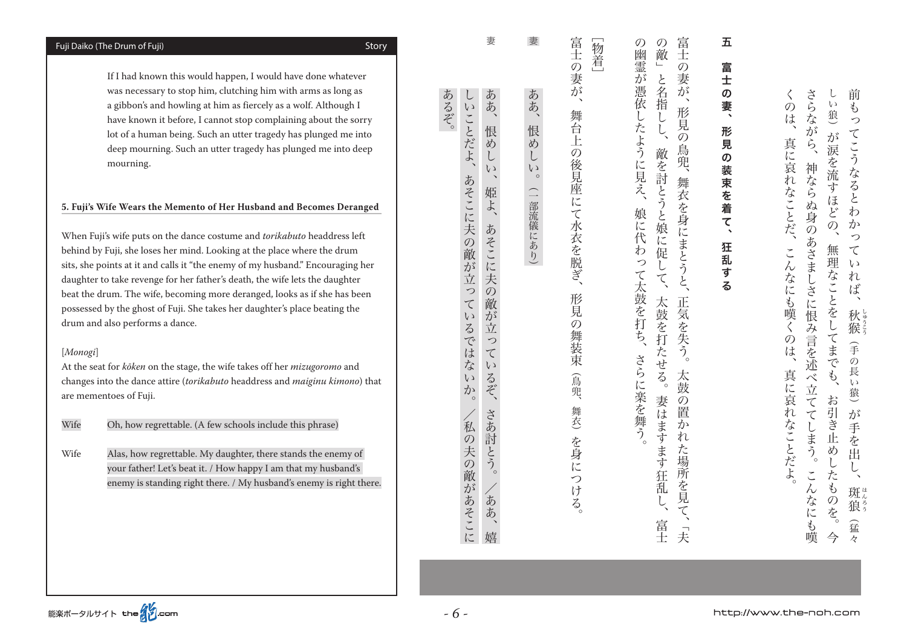If I had known this would happen. I would have done whatever was necessary to stop him, clutching him with arms as long as a gibbon's and howling at him as fiercely as a wolf. Although I have known it before, I cannot stop complaining about the sorry lot of a human being. Such an utter tragedy has plunged me into deep mourning. Such an utter tragedy has plunged me into deep mourning.

### 5. Fuji's Wife Wears the Memento of Her Husband and Becomes Deranged

When Fuji's wife puts on the dance costume and *torikabuto* headdress left behind by Fuji, she loses her mind. Looking at the place where the drum sits, she points at it and calls it "the enemy of my husband." Encouraging her daughter to take revenge for her father's death, the wife lets the daughter beat the drum. The wife, becoming more deranged, looks as if she has been possessed by the ghost of Fuji. She takes her daughter's place beating the drum and also performs a dance.<br>[*Monogi*]

At the seat for *kōken* on the stage, the wife takes off her *mizugoromo* and changes into the dance attire *(torikabuto* headdress and *maiginu kimono)* that are mementoes of Fuji.

Wife Oh, how regrettable. (A few schools include this phrase)

Wife Alas, how regrettable. My daughter, there stands the enemy of your father! Let's beat it. / How happy I am that my husband's enemy is standing right there. / My husband's enemy is right there.

|                                                    | 妻                                                                     | 妻                         | 富士の妻が、<br>[物着]                          |                                    | の敵」                                                                                           | 五                          |                                           |
|----------------------------------------------------|-----------------------------------------------------------------------|---------------------------|-----------------------------------------|------------------------------------|-----------------------------------------------------------------------------------------------|----------------------------|-------------------------------------------|
| $\cup$<br>いことだよ、あそこに夫の敵が立っているではないか。<br>/私の夫の敵があそこに | ああ、<br>恨<br>め<br>じこく<br>姫よ、<br>あそこに夫の敵が立っているぞ、<br>さあ討とう。<br>/ああ、<br>嬉 | ああ、<br>恨めしい。<br>(一部流儀にあり) | 舞台上の後見座にて水衣を脱ぎ、<br>形見の舞装束(鳥兜、舞衣)を身につける。 | の幽霊が憑依したように見え、娘に代わって太鼓を打ち、さらに楽を舞う。 | 富士の妻が、形見の鳥兜、舞衣を身にまとうと、正気を失う。太鼓の置かれた場所を見て、「夫<br>と名指しし、<br>敵を討とうと娘に促して、太鼓を打たせる。妻はますます狂乱し、<br>富士 | 富士の妻、<br>形見の装束を着て、<br>狂乱する | くのは、<br>真に哀れなことだ、こんなにも嘆くのは、<br>真に哀れなことだよ。 |

ないしゃ しゅうしゅう しゅうしゅう こうしゅう こうしゅう こうしゅう こうしゅう こうしゅう こうしゅう こうしゅう

猿

が

手 を

山

 $\zeta$ 

斑!

狼 盆

。お引き上めしたものを、その後、「その後、「その後、「その後」ということをしては、「その後、「その後、」ということをしてまでは、「その後、「その後、」ということをしてまでは、「その後、「その後、「その

 $\cup$ 

てまでも

お  $\tau$ 

3引き止

め

 $\tilde{L}$ 

えも

のを。

今  $\overline{\mathcal{R}}$ 

こんなにはもらえましょう。神ならぬ身のあさましさには、そのようながら、きらながらながら、さらながら、さらながら、さらながら、さらながら、さらながら、さらながら、さらながら、さらながら、さらながら、さら

み言を述べ

 $\frac{1}{\sqrt{2}}$ 

 $\tau$ 

こしまう。

こんなにも嘩

神ならぬ身のあさましさに恨

さら

っながら、

 $\mathcal{L}$ 

 $\iota$ 

狼

が 涙

いを流す

ほど わ

 $\overline{O}$ か っ

無理

な れ

ことを

前

 $\mathfrak{F}$ 

っ

てこうなると

 $\tau$  $\mathcal{U}$ 

ぱ

秋。

猴

拿  $\overline{\mathcal{O}}$ 長い

こうしょう こうしょう こうしゃ アイ・ファイル かんじょう しゅうかん かんきょう かんきょう かんきょう かんきょう かんきょう かんきょう かんきょう かんきょう かんきょう かんきょう かんきょう かんきょう かんきょう

キャッシュ きんじゅん しゅうしょう かんきょう しんけい しゅうかん かんきょう かんきょう かんきょう

あるぞ。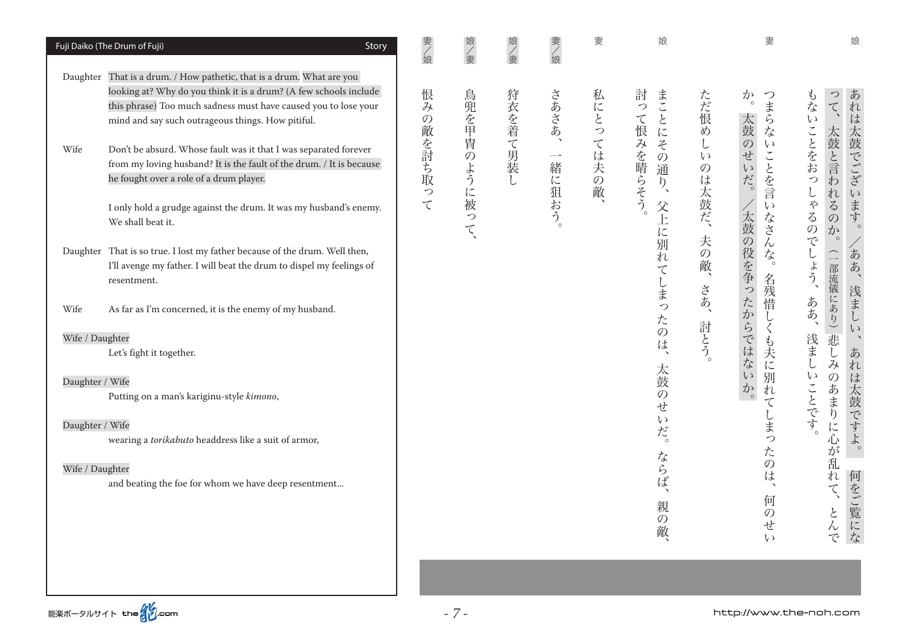|                 | Fuji Daiko (The Drum of Fuji)<br>Story                                                                                                                                                                                                                                                                                                                                                                                                                    | 妻/娘                                       | 娘/妻          | 娘/妻     | 妻/娘                                        | 妻                                                      | 娘                                                                                                           |                                      | 妻                                                                                            | 娘                                                                                      |                             |                                   |                                                                 |                                                                                                                                                            |
|-----------------|-----------------------------------------------------------------------------------------------------------------------------------------------------------------------------------------------------------------------------------------------------------------------------------------------------------------------------------------------------------------------------------------------------------------------------------------------------------|-------------------------------------------|--------------|---------|--------------------------------------------|--------------------------------------------------------|-------------------------------------------------------------------------------------------------------------|--------------------------------------|----------------------------------------------------------------------------------------------|----------------------------------------------------------------------------------------|-----------------------------|-----------------------------------|-----------------------------------------------------------------|------------------------------------------------------------------------------------------------------------------------------------------------------------|
| Wife            | Daughter That is a drum. / How pathetic, that is a drum. What are you<br>looking at? Why do you think it is a drum? (A few schools include<br>this phrase) Too much sadness must have caused you to lose your<br>mind and say such outrageous things. How pitiful.<br>Don't be absurd. Whose fault was it that I was separated forever<br>from my loving husband? It is the fault of the drum. / It is because<br>he fought over a role of a drum player. | 恨<br>$\lambda$<br>$\mathcal{O}$<br>敵を討ち取っ | 鳥兜を甲<br>冑のよう | 狩衣を着て男装 | さあさあ<br>$\overline{\phantom{0}}$<br>緒<br>に | 私<br>に<br>と<br>っ<br>$\tau$<br>は<br>夫<br>$\overline{O}$ | 討<br>ま<br>$\check{\phantom{a}}$<br>つ<br>て<br>とに<br>良み<br>z<br>を晴らそう<br>$\mathcal{O}$<br>通<br>$\overline{2}$ | ただ恨<br>め<br>$\iota$<br>$\mathcal{O}$ | か<br>つま<br>$\circ$<br>らな<br>太鼓<br>$\mathcal{O}$<br>$\zeta$ )<br>ことを言<br>せ<br>$\zeta$ )<br>だ。 | P<br>つ<br>あ<br>庋<br>$\tilde{\zeta}$<br>れ<br>は太鼓でございます。<br>$\zeta$ )<br>ことをおっ<br>太鼓と言われ |                             |                                   |                                                                 |                                                                                                                                                            |
|                 | I only hold a grudge against the drum. It was my husband's enemy.<br>We shall beat it.<br>Daughter That is so true. I lost my father because of the drum. Well then,<br>I'll avenge my father. I will beat the drum to dispel my feelings of<br>resentment.                                                                                                                                                                                               | $\tau$                                    |              |         |                                            |                                                        | に被<br>っ<br>$\tau$                                                                                           |                                      | 2狙おう。                                                                                        | 敵                                                                                      | 父上<br>に<br>別<br>れ<br>$\tau$ | は太鼓だ、<br>夫<br>$\overline{O}$<br>敵 | $\zeta$ )<br>ふなさん<br>太鼓<br>の役を争<br>$\vec{\mathcal{L}}_{\delta}$ | $\cup$<br>やる<br>この<br>$\mathcal{O}$<br>$\vec{\mathcal{D}}$<br>$^{\circ}$ $\circ$<br>$\widetilde{C}$<br>$\cup$<br>ああ、<br>$\updownarrow$<br>$\sum_{i=1}^{n}$ |
| Wife            | As far as I'm concerned, it is the enemy of my husband.                                                                                                                                                                                                                                                                                                                                                                                                   |                                           |              |         |                                            |                                                        | しまっ<br>た                                                                                                    | さあ、                                  | 名残惜,<br>$\bigcirc$<br>$\zeta$<br>か<br>L                                                      | (一部流儀にあり)<br>浅まし<br>ああ、<br>$\epsilon$ $\sqrt{}$                                        |                             |                                   |                                                                 |                                                                                                                                                            |
| Wife / Daughter | Let's fight it together.                                                                                                                                                                                                                                                                                                                                                                                                                                  |                                           |              |         |                                            |                                                        | $\mathcal{O}$<br>は                                                                                          | 討とう                                  | らではな<br>くも夫に                                                                                 | 浅ま<br>悲<br>あ<br>L<br>$\cup$<br>$\lambda$<br>れ                                          |                             |                                   |                                                                 |                                                                                                                                                            |
| Daughter / Wife | Putting on a man's kariginu-style kimono,                                                                                                                                                                                                                                                                                                                                                                                                                 |                                           |              |         |                                            |                                                        | 太鼓<br>$\mathcal{O}$<br>せ                                                                                    |                                      | $\zeta$<br>別れ<br>か<br>່ $\circ$<br>$\tau$                                                    | $\zeta$ )<br>$\mathcal{O}$<br>は<br>ことです                                                |                             |                                   |                                                                 |                                                                                                                                                            |
| Daughter / Wife | wearing a torikabuto headdress like a suit of armor,                                                                                                                                                                                                                                                                                                                                                                                                      |                                           |              |         |                                            |                                                        | $\zeta$ )<br>$\mathcal{F}_{\zeta}^{\mathbf{y}}$                                                             |                                      | ま<br>っ<br>た                                                                                  | あまりに心<br>太鼓ですよ。                                                                        |                             |                                   |                                                                 |                                                                                                                                                            |
| Wife / Daughter | and beating the foe for whom we have deep resentment                                                                                                                                                                                                                                                                                                                                                                                                      |                                           |              |         |                                            |                                                        | ならば<br>親<br>$\mathcal{O}$<br>敵                                                                              |                                      | $\mathcal{O}$<br>は<br>何<br>$\mathcal{O}$<br>せ<br>$\zeta$                                     | が<br>乱<br>何をご覧にな<br>れ<br>$\overline{\zeta}$<br>とん<br>で                                 |                             |                                   |                                                                 |                                                                                                                                                            |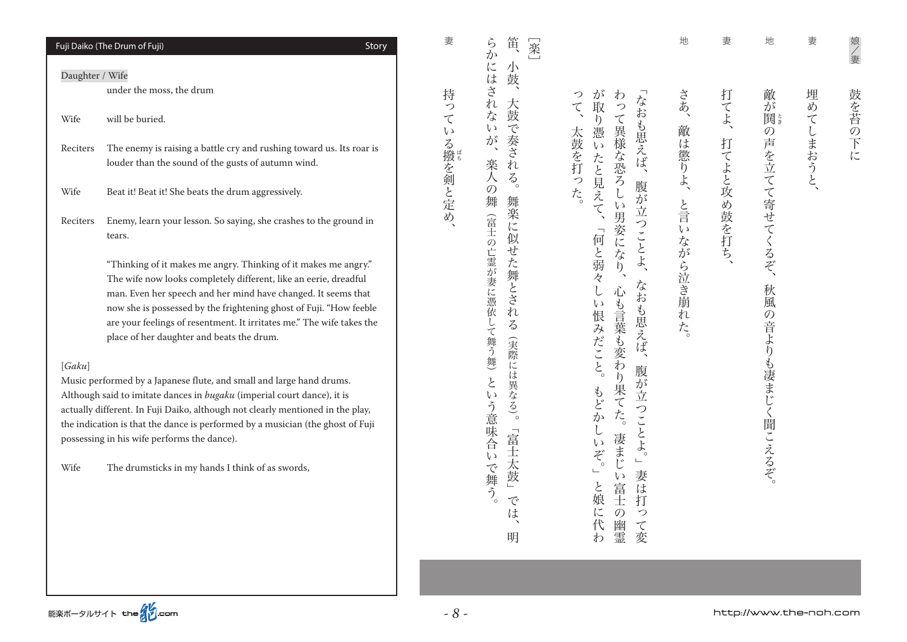|                 | Fuji Daiko (The Drum of Fuji)<br>Story                                                                                                                                                                                                                                                                                                                                                                                                                                                                                                                                                                                                                                                                                                                                                                                     | 妻                 | 笛<br>ら<br>実<br>か                                                                    |                                                                                                                                                                                                                                                       | 地            | 妻           | 地                         | 妻      | 娘/妻    |
|-----------------|----------------------------------------------------------------------------------------------------------------------------------------------------------------------------------------------------------------------------------------------------------------------------------------------------------------------------------------------------------------------------------------------------------------------------------------------------------------------------------------------------------------------------------------------------------------------------------------------------------------------------------------------------------------------------------------------------------------------------------------------------------------------------------------------------------------------------|-------------------|-------------------------------------------------------------------------------------|-------------------------------------------------------------------------------------------------------------------------------------------------------------------------------------------------------------------------------------------------------|--------------|-------------|---------------------------|--------|--------|
| Daughter / Wife |                                                                                                                                                                                                                                                                                                                                                                                                                                                                                                                                                                                                                                                                                                                                                                                                                            |                   | 小鼓                                                                                  |                                                                                                                                                                                                                                                       |              |             |                           |        |        |
|                 | under the moss, the drum                                                                                                                                                                                                                                                                                                                                                                                                                                                                                                                                                                                                                                                                                                                                                                                                   | 持                 | にはされ<br>$\rightarrow$                                                               | が取<br>わ<br>つ                                                                                                                                                                                                                                          | さあ、          |             | 敵                         |        |        |
| Wife            | will be buried.                                                                                                                                                                                                                                                                                                                                                                                                                                                                                                                                                                                                                                                                                                                                                                                                            | つ<br>て<br>$\zeta$ | 大鼓<br>方<br>$\zeta$ )                                                                | 「なお<br>つ<br>$\zeta$<br>$\eta$<br>憑                                                                                                                                                                                                                    |              | 打てよ、        | が<br>開き                   | 埋めて、   | 鼓を苔の下に |
| Reciters        | The enemy is raising a battle cry and rushing toward us. Its roar is<br>louder than the sound of the gusts of autumn wind.                                                                                                                                                                                                                                                                                                                                                                                                                                                                                                                                                                                                                                                                                                 | る撥を剣と定め           | で奏される。<br>が<br>$\boldsymbol{\gamma}$<br>楽<br>$\sqrt{}$                              | て異様な恐<br>も思えば、<br>太鼓を打<br>$\zeta$ )<br>たと見え                                                                                                                                                                                                           | 敵は懲りよ、       |             |                           | しまおうと、 |        |
| Wife            | Beat it! Beat it! She beats the drum aggressively.                                                                                                                                                                                                                                                                                                                                                                                                                                                                                                                                                                                                                                                                                                                                                                         |                   | $\overline{O}$<br>舞<br>舞                                                            | $\zeta$<br>こった。<br>腹が立                                                                                                                                                                                                                                |              |             |                           |        |        |
| Reciters        | Enemy, learn your lesson. So saying, she crashes to the ground in<br>tears.                                                                                                                                                                                                                                                                                                                                                                                                                                                                                                                                                                                                                                                                                                                                                |                   | 栄に<br>似<br>せ                                                                        | しい男姿に<br>$\tau$<br>つことよ、                                                                                                                                                                                                                              |              | 打てよと攻め鼓を打ち、 | の声を立てて寄せてくるぞ、             |        |        |
| [Gaku]<br>Wife  | "Thinking of it makes me angry. Thinking of it makes me angry."<br>The wife now looks completely different, like an eerie, dreadful<br>man. Even her speech and her mind have changed. It seems that<br>now she is possessed by the frightening ghost of Fuji. "How feeble<br>are your feelings of resentment. It irritates me." The wife takes the<br>place of her daughter and beats the drum.<br>Music performed by a Japanese flute, and small and large hand drums.<br>Although said to imitate dances in bugaku (imperial court dance), it is<br>actually different. In Fuji Daiko, although not clearly mentioned in the play,<br>the indication is that the dance is performed by a musician (the ghost of Fuji<br>possessing in his wife performs the dance).<br>The drumsticks in my hands I think of as swords, |                   | (富士の亡霊が妻に憑依して舞う舞)<br>た舞とされ<br>$\zeta$<br>(実際に<br>は異なる)。<br>という意味合いで舞う。<br>言<br>王太鼓」 | 「何と弱々<br>なり、<br>なおも思えば<br>心も言葉も変わ<br>$\zeta$ )<br>恨みだこと。<br>$\rightarrow$<br>腹<br>り果てた。<br>が<br>もどか<br>$\frac{1}{\sqrt{2}}$<br>っ<br>$\check{\phantom{a}}$<br>$E_{\rm b}$<br>凄まじ<br>( )<br>ぞ。<br>$\sqsubseteq$<br>$\qquad \qquad \Box$<br>妻<br>$\zeta$ | と言いながら泣き崩れた。 |             | 秋風<br>の音よりも凄まじ<br>く聞こえるぞ。 |        |        |
|                 |                                                                                                                                                                                                                                                                                                                                                                                                                                                                                                                                                                                                                                                                                                                                                                                                                            |                   | で<br>は<br>明                                                                         | と娘<br>富<br>は<br>王<br>打<br>に<br>$\mathcal{O}$<br>っ<br>代<br>幽霊<br>$\tau$<br>変<br>わ                                                                                                                                                                      |              |             |                           |        |        |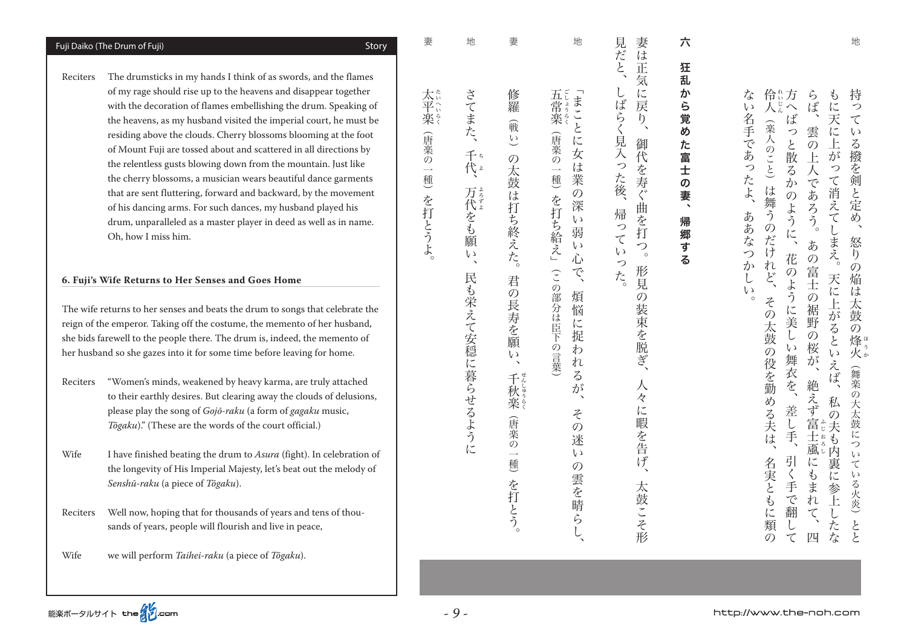妻

太武会 たいへいらく

(唐楽の

 $\overline{\phantom{a}}$ 

種

を打とうよ

。<br>第2章 大学の一種(平楽の一種) (中楽の一種(平楽) (中楽)

Reciters The drumsticks in my hands I think of as swords, and the flames of my rage should rise up to the heavens and disappear together with the decoration of flames embellishing the drum. Speaking of the heavens, as my husband visited the imperial court, he must be residing above the clouds. Cherry blossoms blooming at the foot of Mount Fuji are tossed about and scattered in all directions by the relentless gusts blowing down from the mountain. Just like the cherry blossoms, a musician wears beautiful dance garments that are sent fluttering, forward and backward, by the movement of his dancing arms. For such dances, my husband played his drum, unparalleled as a master player in deed as well as in name. Oh, how I miss him.

### **6. Fuji's Wife Returns to Her Senses and Goes Home**

The wife returns to her senses and beats the drum to songs that celebrate the reign of the emperor. Taking off the costume, the memento of her husband, she bids farewell to the people there. The drum is, indeed, the memento of her husband so she gazes into it for some time before leaving for home.

- Reciters "Women's minds, weakened by heavy karma, are truly attached to their earthly desires. But clearing away the clouds of delusions, please play the song of Gojō-raku (a form of gagaku music, *Tōgaku*)." (These are the words of the court official.)
- Wife I have finished beating the drum to *Asura* (fight). In celebration of the longevity of His Imperial Majesty, let's beat out the melody of Senshū-raku (a piece of Tōgaku).
- Reciters Well now, hoping that for thousands of years and tens of thousands of years, people will flourish and live in peace,
- Wife we will perform *Taihei-raku* (a piece of *Tōgaku*).

見だと 妻は正 六 帰郷する、六狂乱から覚めた富士の妻 。帰っていた。 はいしょう はんしょう はんしょう はんしょう はんしょう はんしょう かんしょう 大々に帰って、人々に帰って、人々に帰っている。 はいしょう はいしゅう はいしゅう しゅうしゅう しゅうしゅう しゅうしゅう 狂 筼 乱  $\cup$ に戻 か ぼらく  $\tilde{5}$ 覚  $\eta$ め 見入った後、 御 た 。<br>代 富 を寿ぐ  $\pm$  $\boldsymbol{\mathcal{D}}$ 妻 曲  $\rightarrow$ 帰っ 「を打 帰 郷  $\tau$  $\sum_{\alpha}$  $\frac{1}{5}$  $\overline{u}$  $\overline{z}$ つた。 形見  $\mathcal{O}$ 装束を脱

**END** 

人

々

に

暇を告げ

太鼓こそ形

「まことに **、その笑いの雲を晴らし、笑いの雲を晴らし、笑いの雲を晴らし、笑いの空に笑いているが、まことに女は笑かった。 その** に女は 業  $\overline{O}$ 深  $\mathcal{U}$ 弱  $\mathcal{U}$ 心 で、 煩 悩 に 捉 あ  $n$  $\zeta$ が  $\overline{\phantom{0}}$  $z$  $\mathcal{O}$ 涞  $\iota$  $\mathcal{O}$ 雲を晴 ら

地

五常楽 こ (この部分は自分の) (を打ち給え) 唐楽の一種(学楽の) (を打ち給え) 唐楽の一種(学部) (の部分は「この部分」(を打ち給え) (唐楽の一 種 を打ち給え」 (この部分は臣下 -の言葉)

千、君の長寿を願い。の太鼓は打ち終えた)戦い(妻修羅 修羅 (戦い ↩ の太鼓は打ち終えた。 君の長寿を願  $\mathcal{U}$  $\mathbb{R}^2$ 千秋楽 しゅう - 『またら』 - 『またら』 - 『またら』 - 『またので』 - 『またので』 - 『またので』 - 『またので』 - 『またので』 - 『またので』 - 『またので』 - 『またので』 - 『またので』 - 『またので』 - 『またので』 - 『またので』 - 『またので』 - 『またので』 - 『またので』 - 『またので』 - 『またので』 - 『またので』 - 『またので』 - 『またので』 - 『またので』 - 『またので』 (唐楽の  $\rightarrow$ 種 を打とう。

千、地さてまた

さてまた、

千ち

万代をも願

 $\epsilon y$ 

 $\ddot{\phantom{1}}$ 

地

妻

万、代 ようしょく しょうかん アイティング しゅうかん しゅうかん しゅうかん しゅうかん しゅうかん しゅうかん しゅうかん しゅうかん しゅうかん しゅうかん しゅうかん しゅうかん しゅうかん しゅうかん しゅうかん しゅうかん しゅうかん

人も、そのように、そのように、そのように、そのように、そのように、そのように、そのように、そのように、そのように、そのように、そのように、そのように、そのように、そのように、そのように、そのように、そ

民も栄えて安穏に暮らせるように

能楽ポータルサイト the インcom

地

 $\mathcal{L}$ 

 $\tau$ 

 $\iota$ 

 $\zeta$ 

撥

まちに いっしょう ほうしゅう こうしょう こうしょう こうしょう こうしょう

こと定

d)

怒

 $\eta$ 

 $\mathcal{O}$ 

焔は

一太鼓

 $\overline{O}$ 

たち、ちゃんである。 雲の上人である。雲の上人である。雲の上人である。雲の上人である。

あの富士

 $\mathcal{O}$ 

,裾野

 $\mathcal{O}$ 

桜が

΄.

インター こうしょう こうしょう こうしょう こうしょう こうしょう こうしょう こうしょう こうしょう こうしょう こうしょう こうしょう こうしょう こうしょう こうしょう

美しい舞衣を、

差し手、

引く

手で翻

 $\downarrow$ 

花のように

名、そのため、その太鼓の役を勤める夫は、その太鼓の姿を勤める夫は、その太鼓の姿を勤める夫は、その太鼓の姿を勤める夫は、その太鼓の姿を勤める夫は、その太鼓の姿を勤める夫は、その太鼓の姿を勤める夫は、その

その太鼓の役を勤める夫は、

名実ともに

…<br>類

 $\varphi$  $\tau$ 

。<br>おおなつかしい、ない名手であったようにない。<br>おおない名手であったようにない。

ああなつか

 $\tilde{L}$ 

 $\epsilon$ 

な

 $\iota$ 

名手であったよ、

伶☆方<br>人とへ ールー

(楽人のこと)

は舞うの

**だけ** 

れど、

方 ら  $\mathfrak{F}$ 持

ぱ

と<br>散

 $\overline{z}$ 人

かのように、

ぱ に

雲 っ

 $\overline{\varpi}$ 

 $\overline{E}$ 

へであ

**S<br>ろう。** 

天に

上が

っ を剣

て消えて

 $\tilde{L}$ 

まえ。

天に

もんとしたような、天に上がって、天に上がって、天に上がって消えてしまえば。もに天に上がって消えてしまえば。もに天に上がって、天に上がって、天に上がって消えてしまえば。もに天に上がって消えてしまえば。もに天に上がって消えてし

上がるとい

**・えば、** 

私

 $\overline{O}$ 

夫

 $\mathfrak{F}$ 

內裏

11

参

Í

と と<br>と

 $\overline{t}$ 

絶えず富士颪

コンピュータ しょうしょう しゅうしょう しゅうしゅう しゅうしゅう しゅうしゅう しゅうしゅう しゅうしゅう しゅうしゅう しゅうしゅう しゅうしゅう しゅうしゅうしゅう しゅうしゅうしょ

にも

 $\check{\ddagger}$ 

れ

 $\frac{1}{\zeta}$ 

四

こうしょう こうしょう

こうしょう こうしょう アイトラックス しゅうかん しゅうかん しゅうかん しゅうかん しゅうかん しゅうかん しゅうかん しゅうかん しゅうかん しゅうかん しゅうかん しゅうかん しゅうかん しゅうかん しゅうかん しゅうかん しゅうかん しゅうかん しゅうかん しゅうかん しゅうかん

"烽"。

そし みんぽう ストー・ストー ストー・ストー・ストー・ストー・ストー ストー・ストー

つい

 $\frac{1}{\zeta}$ 

いる火炎)

(舞楽の大太鼓に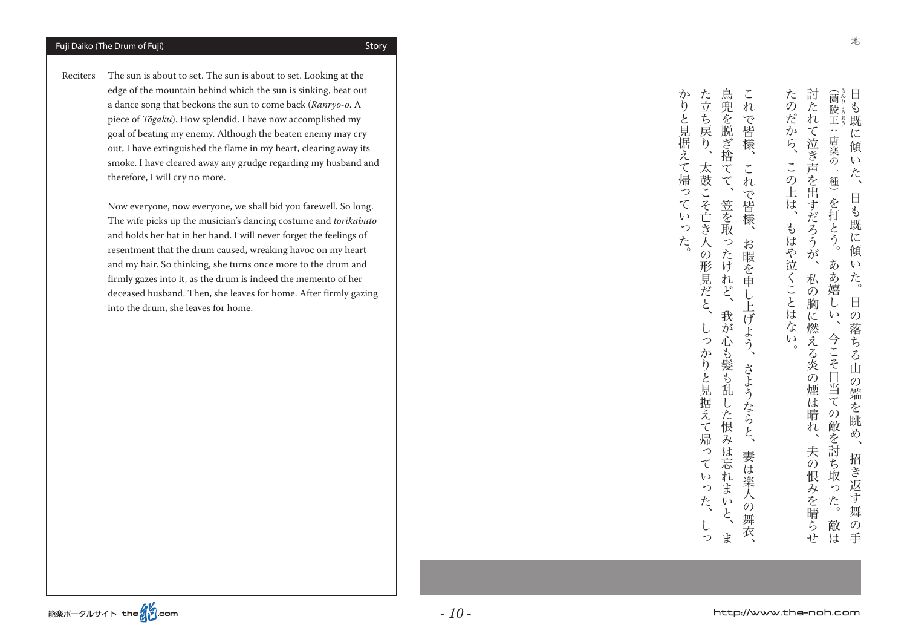Reciters The sun is about to set. The sun is about to set. Looking at the edge of the mountain behind which the sun is sinking, beat out a dance song that beckons the sun to come back (Ranryō-ō, A piece of *Tōgaku*). How splendid. I have now accomplished my goal of beating my enemy. Although the beaten enemy may cry out, I have extinguished the flame in my heart, clearing away its smoke. I have cleared away any grudge regarding my husband and therefore. I will cry no more.

> Now everyone, now everyone, we shall bid you farewell. So long. The wife picks up the musician's dancing costume and *torikabuto* and holds her hat in her hand. I will never forget the feelings of resentment that the drum caused, wreaking havoc on my heart and my hair. So thinking, she turns once more to the drum and firmly gazes into it, as the drum is indeed the memento of her deceased husband. Then, she leaves for home. After firmly gazing into the drum, she leaves for home.

(蘭陵王 討たれて泣き声 たのだから、 りょう しょうかん しゅうきょう しゅうかん しゅうかん かんりょう しゅうかん かんりょう しゅうかん かんりょく しゅうかん しゅうかん しゅうかん しゅうかん しゅうかん しゅうかん しゅうかん しゅうかん しゅうかん しゅうかん しゅうかん しゅうかん しゅうかん しゅうかん しゅっとりょく 。<br>。もは、この上は、たのだからない。この上は、たのだからない。この上は、たのだからない。この上は、たのだからない。この上は、たのだからない。この上は、たのだからない。この上は、たのだからない。この上は、たのだからない。この上は、 夫の恨みを晴らせ、私の胸に燃える炎の煙は晴れ、討たれて泣き声を出すだろうが 招き返す舞の手、日の落ちる山の端を眺め。日も既に傾いた、日も既に傾いた 敵は。今こそ目当ての敵を討ち取った、ああ嬉しい。を打とう)唐楽の一種:陵王 ∴唐楽の一 に 傾  $\iota$ この上は、 た、 を出すだろうが 種  $\Box$ を打とう。 も既 もはや泣くことはない  $l\zeta$ 傾 ああ嬉  $\mathbf{r}$  $\zeta$ 私 た。  $\overline{O}$ 胸に燃える炎の  $\overline{L}$ 日  $\iota$  $\mathcal{O}$ 落ちる 今こそ目当ての敵を討ち取っ  $\overline{11}$  $\mathcal{O}$ 煙は晴れ 端 忘眺 め 夫の恨みを晴らせ 招き返す  $r<sub>o</sub>$ 舞 敵は  $\mathcal{O}$ 手

た立ち戻 鳥兜を脱ぎ捨てて、 これ かりと見据えて帰っ しって、しっぱりと見解えて帰っていった。大鼓こそ亡き人の形見だと、たこちだと、たこちだと、たこちだりと、大鼓ごそ亡き人の形見だと、たこちだと、たこちだりと、たこちだりと、たこちだと、たこちだりと、たこ ま、または、それはこれまで、それは、鳥兜を脱ぎ捨てていた。 これは こうしょう こうしょう 、妻は楽人の舞女は、お嬢を申し上げようならと、お嬢を申し上げようならと、お嬢を申し上げよう。 にで皆様、  $\widetilde{\mathfrak{h}}$ 太鼓 これ "で皆様、 こそ亡き人の ていっ 笠を取 た ふったけ お暇を申 形見だと、 れ  $\sum_{i=1}^{n}$ Ľ 上げよう、 我<br>が しっかりと見据えて帰ってい 心も髪も乱 さよう にした恨 ふらと、  $\ddot{a}$ は忘 妻は れ "楽人 った、 ま  $\mathcal{U}$  $\overline{O}$  $\dot{\xi}$ 舞 しっ 安 ま

。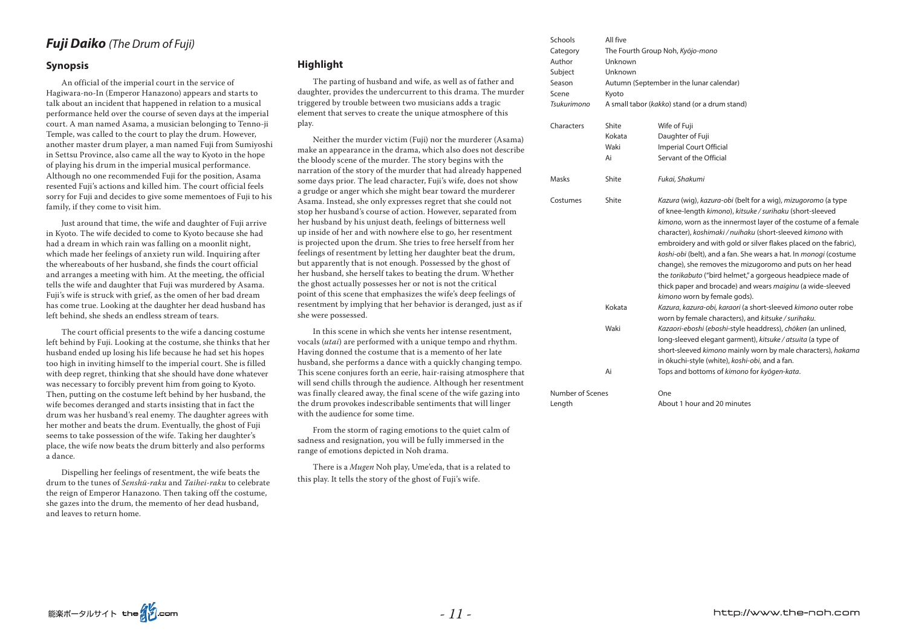# *Fuji Daiko* (The Drum of Fuji)

### **Synopsis**

An official of the imperial court in the service of Hagiwara-no-In (Emperor Hanazono) appears and starts to talk about an incident that happened in relation to a musical performance held over the course of seven days at the imperial court. A man named Asama, a musician belonging to Tenno-ji Temple, was called to the court to play the drum. However, another master drum player, a man named Fuji from Sumiyoshi in Settsu Province, also came all the way to Kyoto in the hope of playing his drum in the imperial musical performance. Although no one recommended Fuji for the position, Asama resented Fuji's actions and killed him. The court official feels sorry for Fuji and decides to give some mementoes of Fuji to his family, if they come to visit him.

Just around that time, the wife and daughter of Fuji arrive in Kyoto. The wife decided to come to Kyoto because she had had a dream in which rain was falling on a moonlit night, which made her feelings of anxiety run wild. Inquiring after the whereabouts of her husband, she finds the court official and arranges a meeting with him. At the meeting, the official tells the wife and daughter that Fuji was murdered by Asama. Fuji's wife is struck with grief, as the omen of her bad dream has come true. Looking at the daughter her dead husband has left behind, she sheds an endless stream of tears.

The court official presents to the wife a dancing costume left behind by Fuji. Looking at the costume, she thinks that her husband ended up losing his life because he had set his hopes too high in inviting himself to the imperial court. She is filled with deep regret, thinking that she should have done whatever was necessary to forcibly prevent him from going to Kyoto. Then, putting on the costume left behind by her husband, the wife becomes deranged and starts insisting that in fact the drum was her husband's real enemy. The daughter agrees with her mother and beats the drum. Eventually, the ghost of Fuji seems to take possession of the wife. Taking her daughter's place, the wife now beats the drum bitterly and also performs a dance.

Dispelling her feelings of resentment, the wife beats the drum to the tunes of *Senshū-raku* and *Taihei-raku* to celebrate the reign of Emperor Hanazono. Then taking off the costume, she gazes into the drum, the memento of her dead husband. and leaves to return home.

### **Highlight**

The parting of husband and wife, as well as of father and daughter, provides the undercurrent to this drama. The murder triggered by trouble between two musicians adds a tragic element that serves to create the unique atmosphere of this play.

Neither the murder victim (Fuji) nor the murderer (Asama) make an appearance in the drama, which also does not describe the bloody scene of the murder. The story begins with the narration of the story of the murder that had already happened some days prior. The lead character, Fuji's wife, does not show a grudge or anger which she might bear toward the murderer Asama. Instead, she only expresses regret that she could not stop her husband's course of action. However, separated from her husband by his unjust death, feelings of bitterness well up inside of her and with nowhere else to go, her resentment is projected upon the drum. She tries to free herself from her feelings of resentment by letting her daughter beat the drum, but apparently that is not enough. Possessed by the ghost of her husband, she herself takes to beating the drum. Whether the ghost actually possesses her or not is not the critical point of this scene that emphasizes the wife's deep feelings of resentment by implying that her behavior is deranged, just as if she were possessed.

In this scene in which she vents her intense resentment. vocals (*utai*) are performed with a unique tempo and rhythm. Having donned the costume that is a memento of her late husband, she performs a dance with a quickly changing tempo. This scene conjures forth an eerie, hair-raising atmosphere that will send chills through the audience. Although her resentment was finally cleared away, the final scene of the wife gazing into the drum provokes indescribable sentiments that will linger with the audience for some time.

From the storm of raging emotions to the quiet calm of sadness and resignation, you will be fully immersed in the range of emotions depicted in Noh drama.

There is a *Mugen* Noh play, Ume'eda, that is a related to this play. It tells the story of the ghost of Fuji's wife.

| Schools<br>Category<br>Author<br>Subject<br>Season<br>Scene<br>Tsukurimono | All five<br>Unknown<br>Unknown<br>Kyoto | The Fourth Group Noh, Kyōjo-mono<br>Autumn (September in the lunar calendar)<br>A small tabor (kakko) stand (or a drum stand)                                                                                                                                                                                                                                                                                                                                                                                                                                                                                                                                                                                                                                                                                        |
|----------------------------------------------------------------------------|-----------------------------------------|----------------------------------------------------------------------------------------------------------------------------------------------------------------------------------------------------------------------------------------------------------------------------------------------------------------------------------------------------------------------------------------------------------------------------------------------------------------------------------------------------------------------------------------------------------------------------------------------------------------------------------------------------------------------------------------------------------------------------------------------------------------------------------------------------------------------|
| Characters                                                                 | Shite<br>Kokata<br>Waki<br>Ai           | Wife of Fuji<br>Daughter of Fuji<br>Imperial Court Official<br>Servant of the Official                                                                                                                                                                                                                                                                                                                                                                                                                                                                                                                                                                                                                                                                                                                               |
| Masks                                                                      | Shite                                   | Fukai, Shakumi                                                                                                                                                                                                                                                                                                                                                                                                                                                                                                                                                                                                                                                                                                                                                                                                       |
| Costumes                                                                   | Shite<br>Kokata<br>Waki                 | Kazura (wig), kazura-obi (belt for a wig), mizugoromo (a type<br>of knee-length kimono), kitsuke / surihaku (short-sleeved<br>kimono, worn as the innermost layer of the costume of a female<br>character), koshimaki / nuihaku (short-sleeved kimono with<br>embroidery and with gold or silver flakes placed on the fabric),<br>koshi-obi (belt), and a fan. She wears a hat. In monogi (costume<br>change), she removes the mizugoromo and puts on her head<br>the torikabuto ("bird helmet," a gorgeous headpiece made of<br>thick paper and brocade) and wears maiginu (a wide-sleeved<br>kimono worn by female gods).<br>Kazura, kazura-obi, karaori (a short-sleeved kimono outer robe<br>worn by female characters), and kitsuke / surihaku.<br>Kazaori-eboshi (eboshi-style headdress), chōken (an unlined, |
|                                                                            |                                         | long-sleeved elegant garment), kitsuke / atsuita (a type of<br>short-sleeved kimono mainly worn by male characters), hakama<br>in ökuchi-style (white), koshi-obi, and a fan.                                                                                                                                                                                                                                                                                                                                                                                                                                                                                                                                                                                                                                        |
|                                                                            | Ai                                      | Tops and bottoms of kimono for kyōgen-kata.                                                                                                                                                                                                                                                                                                                                                                                                                                                                                                                                                                                                                                                                                                                                                                          |
| Number of Scenes                                                           |                                         | One<br>About 1 hour and 20 minutes                                                                                                                                                                                                                                                                                                                                                                                                                                                                                                                                                                                                                                                                                                                                                                                   |
| Lenath                                                                     |                                         |                                                                                                                                                                                                                                                                                                                                                                                                                                                                                                                                                                                                                                                                                                                                                                                                                      |

能楽ポータルサイト the インcom